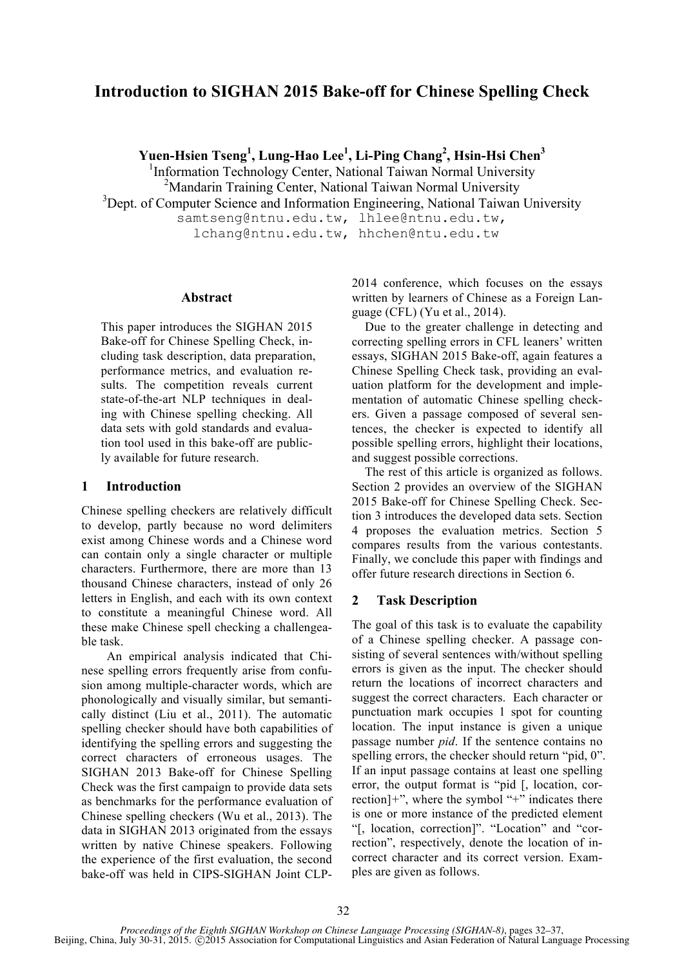# **Introduction to SIGHAN 2015 Bake-off for Chinese Spelling Check**

**Yuen-Hsien Tseng1 , Lung-Hao Lee1 , Li-Ping Chang2 , Hsin-Hsi Chen<sup>3</sup>**

<sup>1</sup>Information Technology Center, National Taiwan Normal University

<sup>2</sup>Mandarin Training Center, National Taiwan Normal University

<sup>3</sup>Dept. of Computer Science and Information Engineering, National Taiwan University

samtseng@ntnu.edu.tw, lhlee@ntnu.edu.tw, lchang@ntnu.edu.tw, hhchen@ntu.edu.tw

#### **Abstract**

This paper introduces the SIGHAN 2015 Bake-off for Chinese Spelling Check, including task description, data preparation, performance metrics, and evaluation results. The competition reveals current state-of-the-art NLP techniques in dealing with Chinese spelling checking. All data sets with gold standards and evaluation tool used in this bake-off are publicly available for future research.

## **1 Introduction**

Chinese spelling checkers are relatively difficult to develop, partly because no word delimiters exist among Chinese words and a Chinese word can contain only a single character or multiple characters. Furthermore, there are more than 13 thousand Chinese characters, instead of only 26 letters in English, and each with its own context to constitute a meaningful Chinese word. All these make Chinese spell checking a challengeable task.

An empirical analysis indicated that Chinese spelling errors frequently arise from confusion among multiple-character words, which are phonologically and visually similar, but semantically distinct (Liu et al., 2011). The automatic spelling checker should have both capabilities of identifying the spelling errors and suggesting the correct characters of erroneous usages. The SIGHAN 2013 Bake-off for Chinese Spelling Check was the first campaign to provide data sets as benchmarks for the performance evaluation of Chinese spelling checkers (Wu et al., 2013). The data in SIGHAN 2013 originated from the essays written by native Chinese speakers. Following the experience of the first evaluation, the second bake-off was held in CIPS-SIGHAN Joint CLP-

2014 conference, which focuses on the essays written by learners of Chinese as a Foreign Language (CFL) (Yu et al., 2014).

Due to the greater challenge in detecting and correcting spelling errors in CFL leaners' written essays, SIGHAN 2015 Bake-off, again features a Chinese Spelling Check task, providing an evaluation platform for the development and implementation of automatic Chinese spelling checkers. Given a passage composed of several sentences, the checker is expected to identify all possible spelling errors, highlight their locations, and suggest possible corrections.

The rest of this article is organized as follows. Section 2 provides an overview of the SIGHAN 2015 Bake-off for Chinese Spelling Check. Section 3 introduces the developed data sets. Section 4 proposes the evaluation metrics. Section 5 compares results from the various contestants. Finally, we conclude this paper with findings and offer future research directions in Section 6.

## **2 Task Description**

The goal of this task is to evaluate the capability of a Chinese spelling checker. A passage consisting of several sentences with/without spelling errors is given as the input. The checker should return the locations of incorrect characters and suggest the correct characters. Each character or punctuation mark occupies 1 spot for counting location. The input instance is given a unique passage number *pid*. If the sentence contains no spelling errors, the checker should return "pid, 0". If an input passage contains at least one spelling error, the output format is "pid [, location, correction]*+*", where the symbol "+" indicates there is one or more instance of the predicted element "[, location, correction]". "Location" and "correction", respectively, denote the location of incorrect character and its correct version. Examples are given as follows.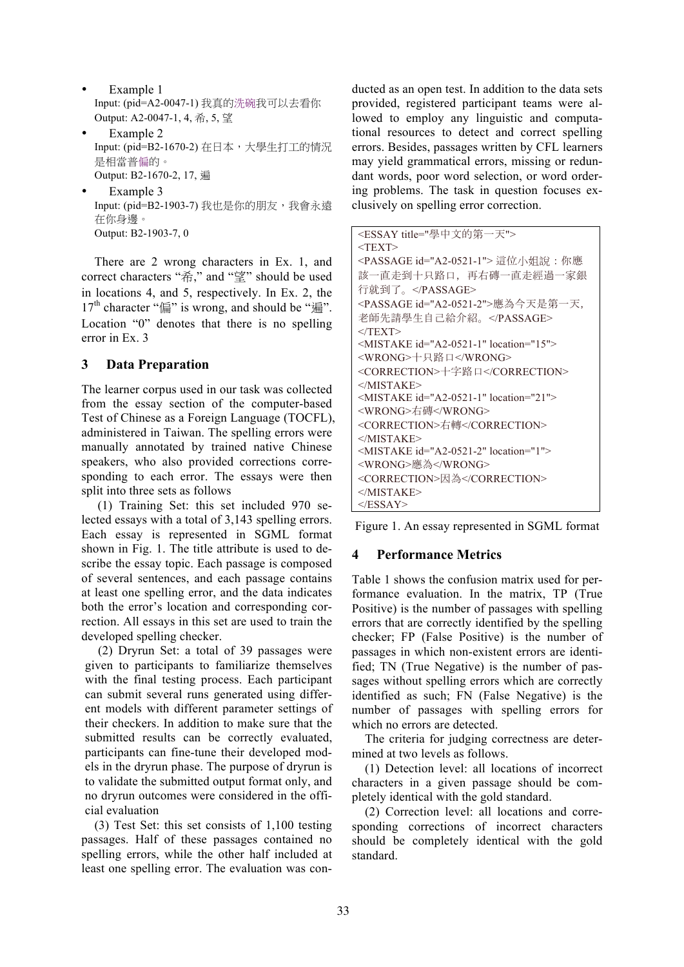- Example 1 Input: (pid=A2-0047-1) 我真的洗碗我可以去看你 Output: A2-0047-1, 4, 希, 5, 望
- Example 2 Input: (pid=B2-1670-2) 在日本,大學生打工的情況 是相當普偏的。 Output: B2-1670-2, 17, 遍
- Example 3 Input: (pid=B2-1903-7) 我也是你的朋友,我會永遠 在你身邊。 Output: B2-1903-7, 0

There are 2 wrong characters in Ex. 1, and correct characters "希," and "望" should be used in locations 4, and 5, respectively. In Ex. 2, the 17<sup>th</sup> character " $\sin$ " is wrong, and should be " $\sin$ ". Location "0" denotes that there is no spelling error in Ex. 3

## **3 Data Preparation**

The learner corpus used in our task was collected from the essay section of the computer-based Test of Chinese as a Foreign Language (TOCFL), administered in Taiwan. The spelling errors were manually annotated by trained native Chinese speakers, who also provided corrections corresponding to each error. The essays were then split into three sets as follows

(1) Training Set: this set included 970 selected essays with a total of 3,143 spelling errors. Each essay is represented in SGML format shown in Fig. 1. The title attribute is used to describe the essay topic. Each passage is composed of several sentences, and each passage contains at least one spelling error, and the data indicates both the error's location and corresponding correction. All essays in this set are used to train the developed spelling checker.

(2) Dryrun Set: a total of 39 passages were given to participants to familiarize themselves with the final testing process. Each participant can submit several runs generated using different models with different parameter settings of their checkers. In addition to make sure that the submitted results can be correctly evaluated, participants can fine-tune their developed models in the dryrun phase. The purpose of dryrun is to validate the submitted output format only, and no dryrun outcomes were considered in the official evaluation

(3) Test Set: this set consists of 1,100 testing passages. Half of these passages contained no spelling errors, while the other half included at least one spelling error. The evaluation was conducted as an open test. In addition to the data sets provided, registered participant teams were allowed to employ any linguistic and computational resources to detect and correct spelling errors. Besides, passages written by CFL learners may yield grammatical errors, missing or redundant words, poor word selection, or word ordering problems. The task in question focuses exclusively on spelling error correction.

| <essay title="學中文的第一天"></essay>                  |
|--------------------------------------------------|
| $<$ TEXT $>$                                     |
| <passage id="A2-0521-1"> 這位小姐說 : 你應</passage>    |
| 該一直走到十只路口, 再右磚一直走經過一家銀                           |
| 行就到了。                                            |
| <passage id="A2-0521-2">應為今天是第一天,</passage>      |
| 老師先請學生自己給介紹。                                     |
| $<$ TEXT>                                        |
| <mistake id="A2-0521-1" location="15"></mistake> |
| <wrong>十只路口</wrong>                              |
| <correction>十字路口</correction>                    |
| $<$ /MISTAKE>                                    |
| <mistake id="A2-0521-1" location="21"></mistake> |
| <wrong>右磚</wrong>                                |
| <correction>右轉</correction>                      |
| $<$ /MISTAKE>                                    |
| <mistake id="A2-0521-2" location="1"></mistake>  |
| <wrong>應為</wrong>                                |
| <correction>因為</correction>                      |
| $<$ /MISTAKE>                                    |
| $<$ /ESSAY>                                      |

Figure 1. An essay represented in SGML format

## **4 Performance Metrics**

Table 1 shows the confusion matrix used for performance evaluation. In the matrix, TP (True Positive) is the number of passages with spelling errors that are correctly identified by the spelling checker; FP (False Positive) is the number of passages in which non-existent errors are identified; TN (True Negative) is the number of passages without spelling errors which are correctly identified as such; FN (False Negative) is the number of passages with spelling errors for which no errors are detected.

The criteria for judging correctness are determined at two levels as follows.

(1) Detection level: all locations of incorrect characters in a given passage should be completely identical with the gold standard.

(2) Correction level: all locations and corresponding corrections of incorrect characters should be completely identical with the gold standard.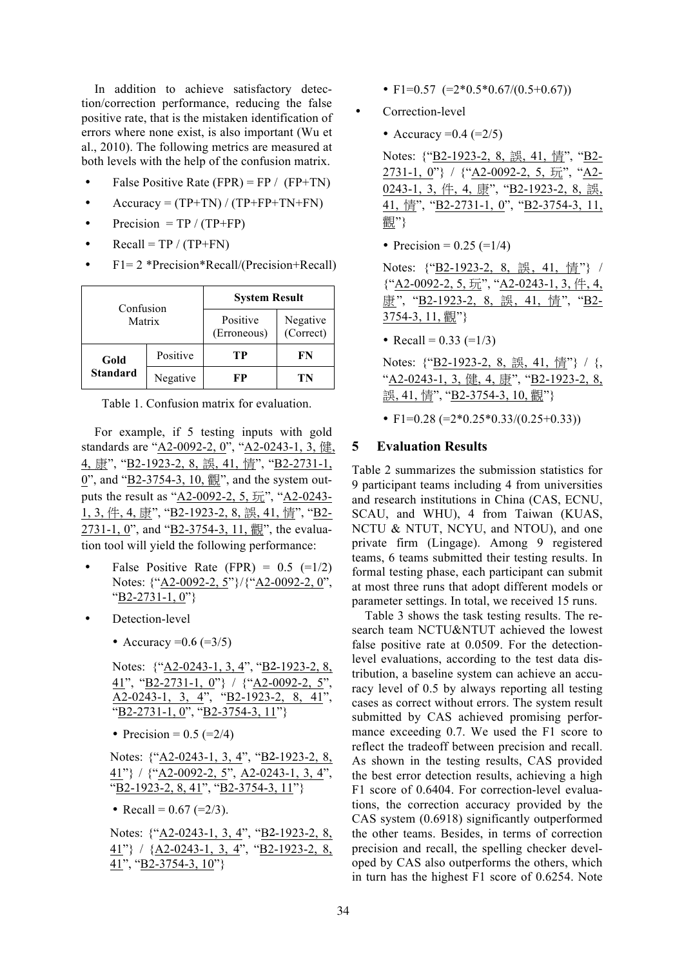In addition to achieve satisfactory detection/correction performance, reducing the false positive rate, that is the mistaken identification of errors where none exist, is also important (Wu et al., 2010). The following metrics are measured at both levels with the help of the confusion matrix.

- False Positive Rate (FPR) = FP / (FP+TN)
- Accuracy =  $(TP+TN) / (TP+FP+TN+FN)$
- Precision =  $TP / (TP + FP)$
- Recall = TP /  $(TP+FN)$
- F1= 2 \*Precision\*Recall/(Precision+Recall)

| Confusion<br>Matrix |          | <b>System Result</b>    |                       |  |
|---------------------|----------|-------------------------|-----------------------|--|
|                     |          | Positive<br>(Erroneous) | Negative<br>(Correct) |  |
| Positive<br>Gold    |          | TР                      | FN                    |  |
| <b>Standard</b>     | Negative | FP                      | TN                    |  |

Table 1. Confusion matrix for evaluation.

For example, if 5 testing inputs with gold standards are "A2-0092-2, 0", "A2-0243-1, 3, 健, 4, 康", "B2-1923-2, 8, 誤, 41, 情", "B2-2731-1,  $0$ ", and " $B2-3754-3$ , 10,  $\frac{m}{6}$ ", and the system outputs the result as "A2-0092-2, 5, 玩", "A2-0243- 1, 3, 件, 4, 康", "B2-1923-2, 8, 誤, 41, 情", "B2- $2731-1, 0$ ", and " $B2-3754-3, 11, 1$ ", the evaluation tool will yield the following performance:

- False Positive Rate (FPR) =  $0.5$  (= $1/2$ ) Notes: {"A2-0092-2, 5"}/{"A2-0092-2, 0", "B2-2731-1, 0"}
- Detection-level
	- Accuracy =  $0.6$  (=  $3/5$ )

Notes: {"A2-0243-1, 3, 4", "B2-1923-2, 8,  $41$ ", "B2-2731-1, 0"} / {"A2-0092-2, 5", A2-0243-1, 3, 4", "B2-1923-2, 8, 41",  $\sqrt{B2-2731-1, 0$ ", "B2-3754-3, 11"}

• Precision =  $0.5$  (= $2/4$ )

| Notes: {"A2-0243-1, 3, 4", "B2-1923-2, 8,    |  |
|----------------------------------------------|--|
| $41$ "} / {"A2-0092-2, 5", A2-0243-1, 3, 4", |  |
| "B2-1923-2, 8, 41", "B2-3754-3, 11"}         |  |

• Recall =  $0.67$  (= $2/3$ ).

Notes: {"A2-0243-1, 3, 4", "B2-1923-2, 8, 41"} / {A2-0243-1, 3, 4", "B2-1923-2, 8, 41", "B2-3754-3, 10"}

- F1=0.57 (= $2*0.5*0.67/(0.5+0.67)$ )
- Correction-level

• Accuracy =  $0.4$  (=  $2/5$ )

Notes: {"B2-1923-2, 8, 誤, 41, 情", "B2- 2731-1, 0"} / {"A2-0092-2, 5, 玩", "A2- 0243-1, 3, 件, 4, 康", "B2-1923-2, 8, 誤, 41, 情", "B2-2731-1, 0", "B2-3754-3, 11, 觀"}

• Precision = 
$$
0.25 = (1/4)
$$

Notes: {"B2-1923-2, 8, 誤, 41, 情"} /  $\{\text{``A2-0092-2, 5, } \overline{\text{m}}\text{''}, \text{``A2-0243-1, 3, } \#, 4, \}$ 康", "B2-1923-2, 8, 誤, 41, 情", "B2- 3754-3, 11, 觀"}

• Recall =  $0.33 (=1/3)$ 

Notes: {"B2-1923-2, 8, 誤, 41, 情"} / {, "A2-0243-1, 3, 健, 4, 康", "B2-1923-2, 8, 誤, 41, 情", "B2-3754-3, 10, 觀"}

• F1= $0.28$  (= $2*0.25*0.33/(0.25+0.33)$ )

### **5 Evaluation Results**

Table 2 summarizes the submission statistics for 9 participant teams including 4 from universities and research institutions in China (CAS, ECNU, SCAU, and WHU), 4 from Taiwan (KUAS, NCTU & NTUT, NCYU, and NTOU), and one private firm (Lingage). Among 9 registered teams, 6 teams submitted their testing results. In formal testing phase, each participant can submit at most three runs that adopt different models or parameter settings. In total, we received 15 runs.

Table 3 shows the task testing results. The research team NCTU&NTUT achieved the lowest false positive rate at 0.0509. For the detectionlevel evaluations, according to the test data distribution, a baseline system can achieve an accuracy level of 0.5 by always reporting all testing cases as correct without errors. The system result submitted by CAS achieved promising performance exceeding 0.7. We used the F1 score to reflect the tradeoff between precision and recall. As shown in the testing results, CAS provided the best error detection results, achieving a high F1 score of 0.6404. For correction-level evaluations, the correction accuracy provided by the CAS system (0.6918) significantly outperformed the other teams. Besides, in terms of correction precision and recall, the spelling checker developed by CAS also outperforms the others, which in turn has the highest F1 score of 0.6254. Note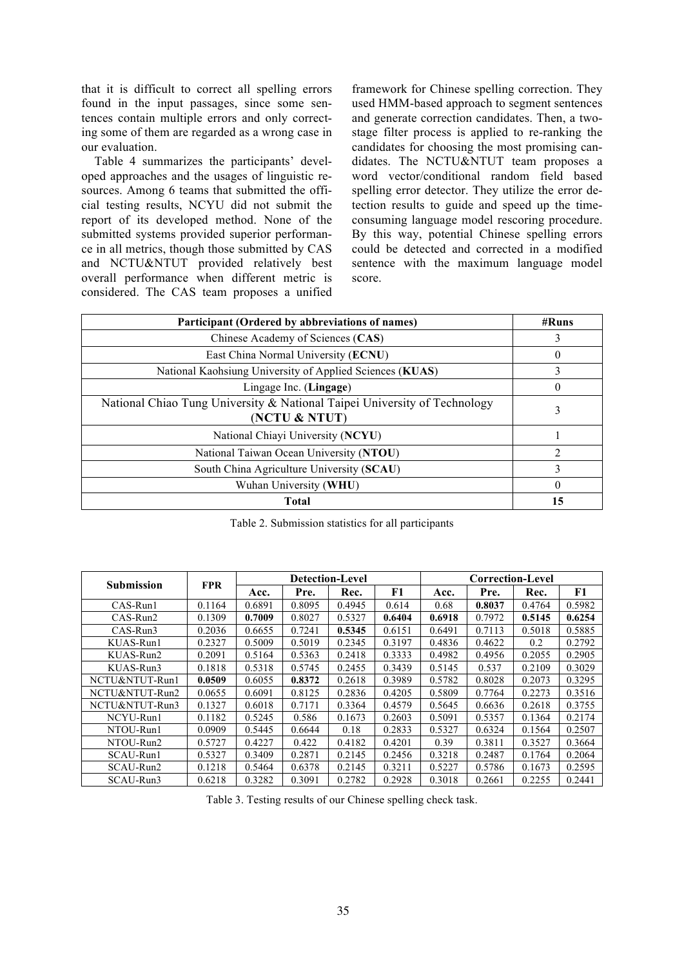that it is difficult to correct all spelling errors found in the input passages, since some sentences contain multiple errors and only correcting some of them are regarded as a wrong case in our evaluation.

Table 4 summarizes the participants' developed approaches and the usages of linguistic resources. Among 6 teams that submitted the official testing results, NCYU did not submit the report of its developed method. None of the submitted systems provided superior performance in all metrics, though those submitted by CAS and NCTU&NTUT provided relatively best overall performance when different metric is considered. The CAS team proposes a unified

framework for Chinese spelling correction. They used HMM-based approach to segment sentences and generate correction candidates. Then, a twostage filter process is applied to re-ranking the candidates for choosing the most promising candidates. The NCTU&NTUT team proposes a word vector/conditional random field based spelling error detector. They utilize the error detection results to guide and speed up the timeconsuming language model rescoring procedure. By this way, potential Chinese spelling errors could be detected and corrected in a modified sentence with the maximum language model score.

| Participant (Ordered by abbreviations of names)                                            | #Runs          |
|--------------------------------------------------------------------------------------------|----------------|
| Chinese Academy of Sciences (CAS)                                                          | 3              |
| East China Normal University (ECNU)                                                        | $\theta$       |
| National Kaohsiung University of Applied Sciences (KUAS)                                   | 3              |
| Lingage Inc. (Lingage)                                                                     | $^{(1)}$       |
| National Chiao Tung University & National Taipei University of Technology<br>(NCTU & NTUT) | 3              |
| National Chiayi University (NCYU)                                                          |                |
| National Taiwan Ocean University (NTOU)                                                    | $\overline{2}$ |
| South China Agriculture University (SCAU)                                                  | 3              |
| Wuhan University (WHU)                                                                     | 0              |
| <b>Total</b>                                                                               | 15             |

Table 2. Submission statistics for all participants

|                   |            |        | <b>Detection-Level</b> |        | Correction-Level |        |        |        |        |
|-------------------|------------|--------|------------------------|--------|------------------|--------|--------|--------|--------|
| <b>Submission</b> | <b>FPR</b> | Acc.   | Pre.                   | Rec.   | F1               | Acc.   | Pre.   | Rec.   | F1     |
| $CAS-Run1$        | 0.1164     | 0.6891 | 0.8095                 | 0.4945 | 0.614            | 0.68   | 0.8037 | 0.4764 | 0.5982 |
| $CAS-Run2$        | 0.1309     | 0.7009 | 0.8027                 | 0.5327 | 0.6404           | 0.6918 | 0.7972 | 0.5145 | 0.6254 |
| $CAS-Run3$        | 0.2036     | 0.6655 | 0.7241                 | 0.5345 | 0.6151           | 0.6491 | 0.7113 | 0.5018 | 0.5885 |
| KUAS-Run1         | 0.2327     | 0.5009 | 0.5019                 | 0.2345 | 0.3197           | 0.4836 | 0.4622 | 0.2    | 0.2792 |
| KUAS-Run2         | 0.2091     | 0.5164 | 0.5363                 | 0.2418 | 0.3333           | 0.4982 | 0.4956 | 0.2055 | 0.2905 |
| KUAS-Run3         | 0.1818     | 0.5318 | 0.5745                 | 0.2455 | 0.3439           | 0.5145 | 0.537  | 0.2109 | 0.3029 |
| NCTU&NTUT-Run1    | 0.0509     | 0.6055 | 0.8372                 | 0.2618 | 0.3989           | 0.5782 | 0.8028 | 0.2073 | 0.3295 |
| NCTU&NTUT-Run2    | 0.0655     | 0.6091 | 0.8125                 | 0.2836 | 0.4205           | 0.5809 | 0.7764 | 0.2273 | 0.3516 |
| NCTU&NTUT-Run3    | 0.1327     | 0.6018 | 0.7171                 | 0.3364 | 0.4579           | 0.5645 | 0.6636 | 0.2618 | 0.3755 |
| NCYU-Run1         | 0.1182     | 0.5245 | 0.586                  | 0.1673 | 0.2603           | 0.5091 | 0.5357 | 0.1364 | 0.2174 |
| NTOU-Run1         | 0.0909     | 0.5445 | 0.6644                 | 0.18   | 0.2833           | 0.5327 | 0.6324 | 0.1564 | 0.2507 |
| NTOU-Run2         | 0.5727     | 0.4227 | 0.422                  | 0.4182 | 0.4201           | 0.39   | 0.3811 | 0.3527 | 0.3664 |
| SCAU-Run1         | 0.5327     | 0.3409 | 0.2871                 | 0.2145 | 0.2456           | 0.3218 | 0.2487 | 0.1764 | 0.2064 |
| SCAU-Run2         | 0.1218     | 0.5464 | 0.6378                 | 0.2145 | 0.3211           | 0.5227 | 0.5786 | 0.1673 | 0.2595 |
| SCAU-Run3         | 0.6218     | 0.3282 | 0.3091                 | 0.2782 | 0.2928           | 0.3018 | 0.2661 | 0.2255 | 0.2441 |

Table 3. Testing results of our Chinese spelling check task.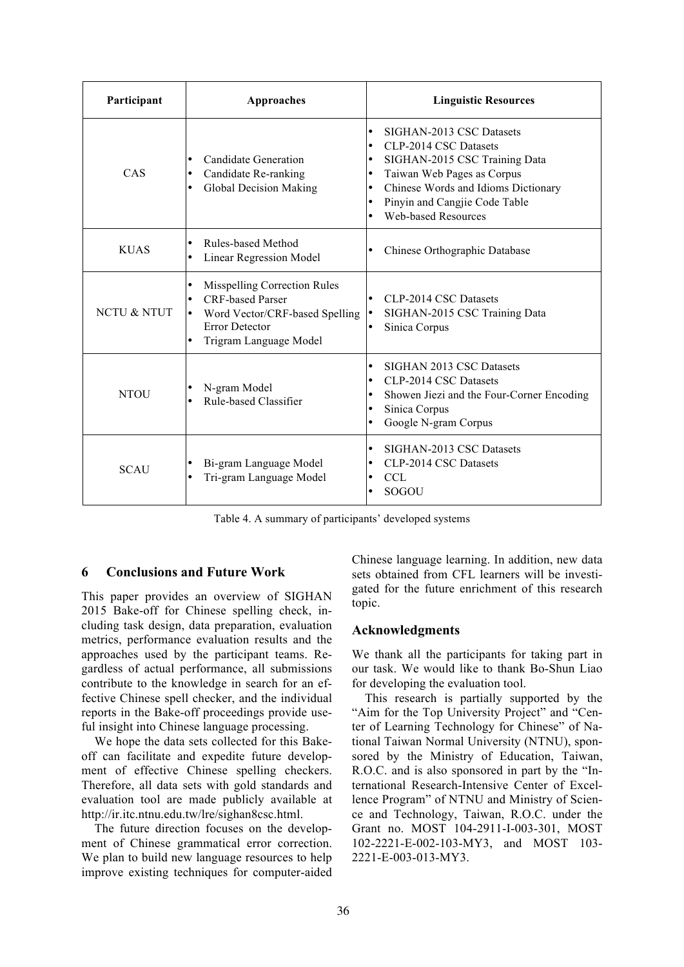| Participant | Approaches                                                                                                                                                                                      | <b>Linguistic Resources</b>                                                                                                                                                                                                                                                                                       |  |  |
|-------------|-------------------------------------------------------------------------------------------------------------------------------------------------------------------------------------------------|-------------------------------------------------------------------------------------------------------------------------------------------------------------------------------------------------------------------------------------------------------------------------------------------------------------------|--|--|
| CAS         | Candidate Generation<br>$\bullet$<br>Candidate Re-ranking<br>$\bullet$<br>Global Decision Making<br>$\bullet$                                                                                   | SIGHAN-2013 CSC Datasets<br>$\bullet$<br>CLP-2014 CSC Datasets<br>$\bullet$<br>SIGHAN-2015 CSC Training Data<br>$\bullet$<br>Taiwan Web Pages as Corpus<br>$\bullet$<br>Chinese Words and Idioms Dictionary<br>$\bullet$<br>Pinyin and Cangjie Code Table<br>$\bullet$<br><b>Web-based Resources</b><br>$\bullet$ |  |  |
| <b>KUAS</b> | Rules-based Method<br>$\bullet$<br><b>Linear Regression Model</b>                                                                                                                               | Chinese Orthographic Database<br>$\bullet$                                                                                                                                                                                                                                                                        |  |  |
| NCTU & NTUT | <b>Misspelling Correction Rules</b><br>$\bullet$<br><b>CRF-based Parser</b><br>$\bullet$<br>Word Vector/CRF-based Spelling<br>٠<br><b>Error Detector</b><br>Trigram Language Model<br>$\bullet$ | CLP-2014 CSC Datasets<br>$\bullet$<br>SIGHAN-2015 CSC Training Data<br>Sinica Corpus                                                                                                                                                                                                                              |  |  |
| <b>NTOU</b> | N-gram Model<br>Rule-based Classifier<br>$\bullet$                                                                                                                                              | SIGHAN 2013 CSC Datasets<br>$\bullet$<br>CLP-2014 CSC Datasets<br>$\bullet$<br>Showen Jiezi and the Four-Corner Encoding<br>$\bullet$<br>Sinica Corpus<br>$\bullet$<br>Google N-gram Corpus<br>$\bullet$                                                                                                          |  |  |
| <b>SCAU</b> | Bi-gram Language Model<br>$\bullet$<br>Tri-gram Language Model<br>$\bullet$                                                                                                                     | SIGHAN-2013 CSC Datasets<br>$\bullet$<br>CLP-2014 CSC Datasets<br>$\bullet$<br><b>CCL</b><br>$\bullet$<br>SOGOU                                                                                                                                                                                                   |  |  |

Table 4. A summary of participants' developed systems

## **6 Conclusions and Future Work**

This paper provides an overview of SIGHAN 2015 Bake-off for Chinese spelling check, including task design, data preparation, evaluation metrics, performance evaluation results and the approaches used by the participant teams. Regardless of actual performance, all submissions contribute to the knowledge in search for an effective Chinese spell checker, and the individual reports in the Bake-off proceedings provide useful insight into Chinese language processing.

We hope the data sets collected for this Bakeoff can facilitate and expedite future development of effective Chinese spelling checkers. Therefore, all data sets with gold standards and evaluation tool are made publicly available at http://ir.itc.ntnu.edu.tw/lre/sighan8csc.html.

The future direction focuses on the development of Chinese grammatical error correction. We plan to build new language resources to help improve existing techniques for computer-aided Chinese language learning. In addition, new data sets obtained from CFL learners will be investigated for the future enrichment of this research topic.

#### **Acknowledgments**

We thank all the participants for taking part in our task. We would like to thank Bo-Shun Liao for developing the evaluation tool.

This research is partially supported by the "Aim for the Top University Project" and "Center of Learning Technology for Chinese" of National Taiwan Normal University (NTNU), sponsored by the Ministry of Education, Taiwan, R.O.C. and is also sponsored in part by the "International Research-Intensive Center of Excellence Program" of NTNU and Ministry of Science and Technology, Taiwan, R.O.C. under the Grant no. MOST 104-2911-I-003-301, MOST 102-2221-E-002-103-MY3, and MOST 103- 2221-E-003-013-MY3.